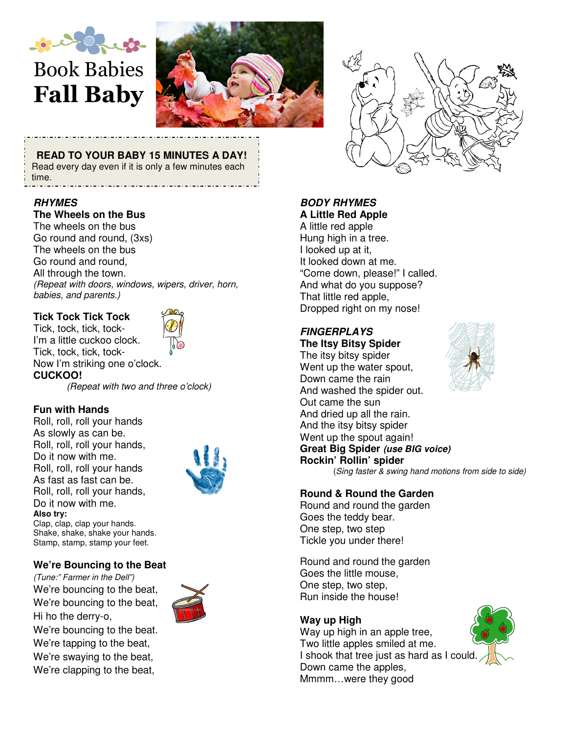

# Book Babies Fall Baby



**READ TO YOUR BABY 15 MINUTES A DAY!** 

Read every day even if it is only a few minutes each time.

## **RHYMES**

#### **The Wheels on the Bus**

The wheels on the bus Go round and round, (3xs) The wheels on the bus Go round and round, All through the town. (Repeat with doors, windows, wipers, driver, horn, babies, and parents.)

# **Tick Tock Tick Tock**

Tick, tock, tick, tock-I'm a little cuckoo clock. Tick, tock, tick, tock-Now I'm striking one o'clock. **CUCKOO!** 



(Repeat with two and three o'clock)

## **Fun with Hands**

Roll, roll, roll your hands As slowly as can be. Roll, roll, roll your hands, Do it now with me. Roll, roll, roll your hands As fast as fast can be. Roll, roll, roll your hands, Do it now with me. **Also try:** 



Clap, clap, clap your hands. Shake, shake, shake your hands. Stamp, stamp, stamp your feet.

## **We're Bouncing to the Beat**

(Tune:" Farmer in the Dell") We're bouncing to the beat, We're bouncing to the beat, Hi ho the derry-o, We're bouncing to the beat. We're tapping to the beat, We're swaying to the beat, We're clapping to the beat,





## **BODY RHYMES A Little Red Apple**

A little red apple Hung high in a tree. I looked up at it, It looked down at me. "Come down, please!" I called. And what do you suppose? That little red apple, Dropped right on my nose!

# **FINGERPLAYS**

**The Itsy Bitsy Spider**  The itsy bitsy spider Went up the water spout, Down came the rain And washed the spider out. Out came the sun And dried up all the rain. And the itsy bitsy spider Went up the spout again! **Great Big Spider (use BIG voice) Rockin' Rollin' spider**  (Sing faster & swing hand motions from side to side)



#### **Round & Round the Garden**

Round and round the garden Goes the teddy bear. One step, two step Tickle you under there!

Round and round the garden Goes the little mouse, One step, two step, Run inside the house!

## **Way up High**

Way up high in an apple tree, Two little apples smiled at me. I shook that tree just as hard as I could. Down came the apples, Mmmm…were they good